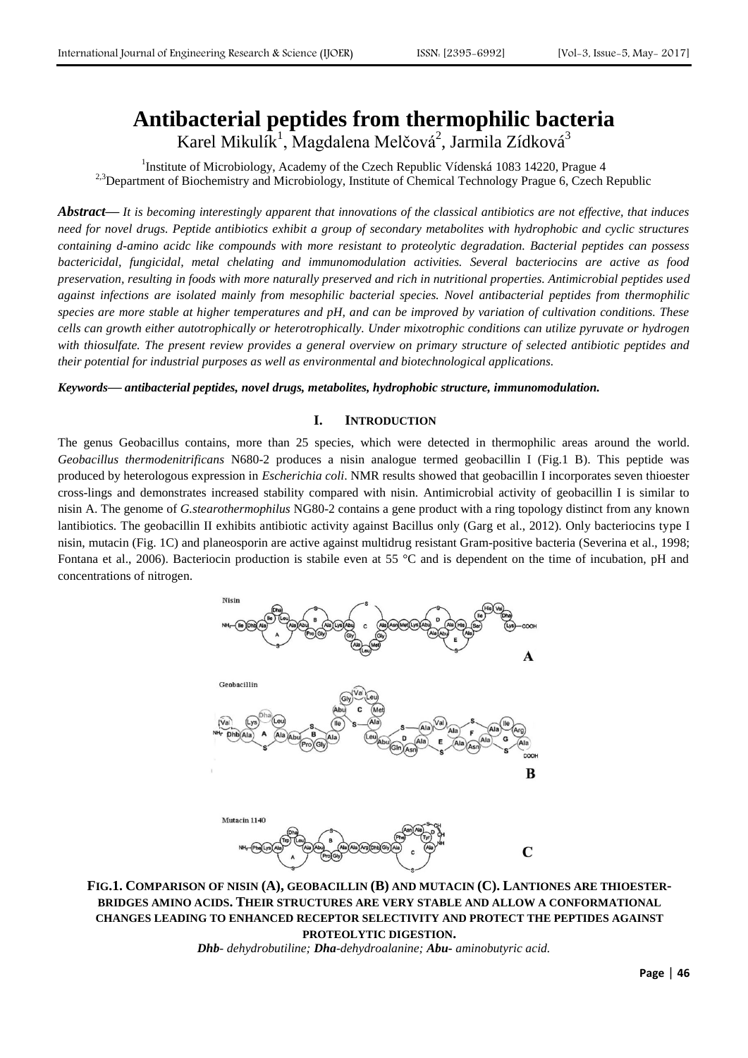# **Antibacterial peptides from thermophilic bacteria** Karel Mikulík<sup>1</sup>, Magdalena Melčová<sup>2</sup>, Jarmila Zídková<sup>3</sup>

<sup>1</sup>Institute of Microbiology, Academy of the Czech Republic Vídenská 1083 14220, Prague 4 <sup>2,3</sup>Department of Biochemistry and Microbiology, Institute of Chemical Technology Prague 6, Czech Republic

*Abstract***—** *It is becoming interestingly apparent that innovations of the classical antibiotics are not effective, that induces need for novel drugs. Peptide antibiotics exhibit a group of secondary metabolites with hydrophobic and cyclic structures containing d-amino acidc like compounds with more resistant to proteolytic degradation. Bacterial peptides can possess bactericidal, fungicidal, metal chelating and immunomodulation activities. Several bacteriocins are active as food preservation, resulting in foods with more naturally preserved and rich in nutritional properties. Antimicrobial peptides used against infections are isolated mainly from mesophilic bacterial species. Novel antibacterial peptides from thermophilic species are more stable at higher temperatures and pH, and can be improved by variation of cultivation conditions. These cells can growth either autotrophically or heterotrophically. Under mixotrophic conditions can utilize pyruvate or hydrogen with thiosulfate. The present review provides a general overview on primary structure of selected antibiotic peptides and their potential for industrial purposes as well as environmental and biotechnological applications.*

## *Keywords***—** *antibacterial peptides, novel drugs, metabolites, hydrophobic structure, immunomodulation.*

## **I. INTRODUCTION**

The genus Geobacillus contains, more than 25 species, which were detected in thermophilic areas around the world. *Geobacillus thermodenitrificans* N680-2 produces a nisin analogue termed geobacillin I (Fig.1 B). This peptide was produced by heterologous expression in *Escherichia coli*. NMR results showed that geobacillin I incorporates seven thioester cross-lings and demonstrates increased stability compared with nisin. Antimicrobial activity of geobacillin I is similar to nisin A. The genome of *G.stearothermophilus* NG80-2 contains a gene product with a ring topology distinct from any known lantibiotics. The geobacillin II exhibits antibiotic activity against Bacillus only (Garg et al., 2012). Only bacteriocins type I nisin, mutacin (Fig. 1C) and planeosporin are active against multidrug resistant Gram-positive bacteria (Severina et al., 1998; Fontana et al., 2006). Bacteriocin production is stabile even at 55 °C and is dependent on the time of incubation, pH and concentrations of nitrogen.



**FIG.1. COMPARISON OF NISIN (A), GEOBACILLIN (B) AND MUTACIN (C). LANTIONES ARE THIOESTER-BRIDGES AMINO ACIDS. THEIR STRUCTURES ARE VERY STABLE AND ALLOW A CONFORMATIONAL CHANGES LEADING TO ENHANCED RECEPTOR SELECTIVITY AND PROTECT THE PEPTIDES AGAINST PROTEOLYTIC DIGESTION.**

*Dhb- dehydrobutiline; Dha-dehydroalanine; Abu- aminobutyric acid.*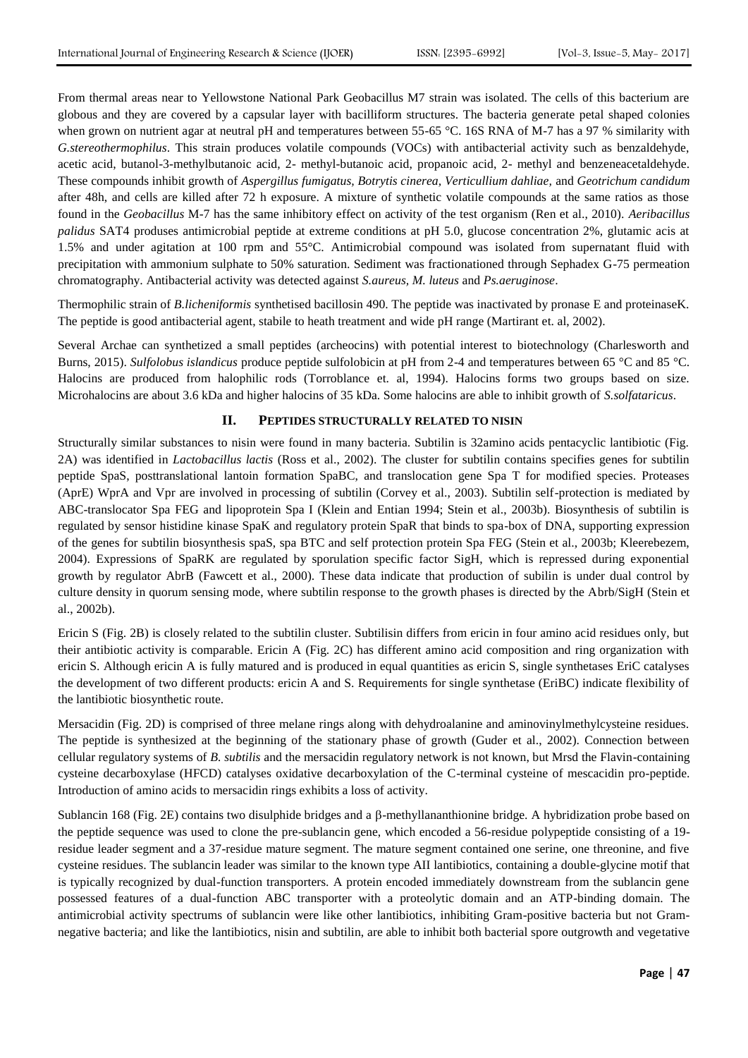From thermal areas near to Yellowstone National Park Geobacillus M7 strain was isolated. The cells of this bacterium are globous and they are covered by a capsular layer with bacilliform structures. The bacteria generate petal shaped colonies when grown on nutrient agar at neutral pH and temperatures between 55-65 °C. 16S RNA of M-7 has a 97 % similarity with *G.stereothermophilus*. This strain produces volatile compounds (VOCs) with antibacterial activity such as benzaldehyde, acetic acid, butanol-3-methylbutanoic acid, 2- methyl-butanoic acid, propanoic acid, 2- methyl and benzeneacetaldehyde. These compounds inhibit growth of *Aspergillus fumigatus, Botrytis cinerea, Verticullium dahliae,* and *Geotrichum candidum*  after 48h, and cells are killed after 72 h exposure. A mixture of synthetic volatile compounds at the same ratios as those found in the *Geobacillus* M-7 has the same inhibitory effect on activity of the test organism (Ren et al., 2010). *Aeribacillus palidus* SAT4 produses antimicrobial peptide at extreme conditions at pH 5.0, glucose concentration 2%, glutamic acis at 1.5% and under agitation at 100 rpm and 55°C. Antimicrobial compound was isolated from supernatant fluid with precipitation with ammonium sulphate to 50% saturation. Sediment was fractionationed through Sephadex G-75 permeation chromatography. Antibacterial activity was detected against *S.aureus, M. luteus* and *Ps.aeruginose*.

Thermophilic strain of *B.licheniformis* synthetised bacillosin 490. The peptide was inactivated by pronase E and proteinaseK. The peptide is good antibacterial agent, stabile to heath treatment and wide pH range (Martirant et. al, 2002).

Several Archae can synthetized a small peptides (archeocins) with potential interest to biotechnology (Charlesworth and Burns, 2015). *Sulfolobus islandicus* produce peptide sulfolobicin at pH from 2-4 and temperatures between 65 °C and 85 °C. Halocins are produced from halophilic rods (Torroblance et. al, 1994). Halocins forms two groups based on size. Microhalocins are about 3.6 kDa and higher halocins of 35 kDa. Some halocins are able to inhibit growth of *S.solfataricus*.

# **II. PEPTIDES STRUCTURALLY RELATED TO NISIN**

Structurally similar substances to nisin were found in many bacteria. Subtilin is 32amino acids pentacyclic lantibiotic (Fig. 2A) was identified in *Lactobacillus lactis* (Ross et al., 2002). The cluster for subtilin contains specifies genes for subtilin peptide SpaS, posttranslational lantoin formation SpaBC, and translocation gene Spa T for modified species. Proteases (AprE) WprA and Vpr are involved in processing of subtilin (Corvey et al., 2003). Subtilin self-protection is mediated by ABC-translocator Spa FEG and lipoprotein Spa I (Klein and Entian 1994; Stein et al., 2003b). Biosynthesis of subtilin is regulated by sensor histidine kinase SpaK and regulatory protein SpaR that binds to spa-box of DNA, supporting expression of the genes for subtilin biosynthesis spaS, spa BTC and self protection protein Spa FEG (Stein et al., 2003b; Kleerebezem, 2004). Expressions of SpaRK are regulated by sporulation specific factor SigH, which is repressed during exponential growth by regulator AbrB (Fawcett et al., 2000). These data indicate that production of subilin is under dual control by culture density in quorum sensing mode, where subtilin response to the growth phases is directed by the Abrb/SigH (Stein et al., 2002b).

Ericin S (Fig. 2B) is closely related to the subtilin cluster. Subtilisin differs from ericin in four amino acid residues only, but their antibiotic activity is comparable. Ericin A (Fig. 2C) has different amino acid composition and ring organization with ericin S. Although ericin A is fully matured and is produced in equal quantities as ericin S, single synthetases EriC catalyses the development of two different products: ericin A and S. Requirements for single synthetase (EriBC) indicate flexibility of the lantibiotic biosynthetic route.

Mersacidin (Fig. 2D) is comprised of three melane rings along with dehydroalanine and aminovinylmethylcysteine residues. The peptide is synthesized at the beginning of the stationary phase of growth (Guder et al., 2002). Connection between cellular regulatory systems of *B. subtilis* and the mersacidin regulatory network is not known, but Mrsd the Flavin-containing cysteine decarboxylase (HFCD) catalyses oxidative decarboxylation of the C-terminal cysteine of mescacidin pro-peptide. Introduction of amino acids to mersacidin rings exhibits a loss of activity.

Sublancin 168 (Fig. 2E) contains two disulphide bridges and a  $\beta$ -methyllananthionine bridge. A hybridization probe based on the peptide sequence was used to clone the pre-sublancin gene, which encoded a 56-residue polypeptide consisting of a 19 residue leader segment and a 37-residue mature segment. The mature segment contained one serine, one threonine, and five cysteine residues. The sublancin leader was similar to the known type AII lantibiotics, containing a double-glycine motif that is typically recognized by dual-function transporters. A protein encoded immediately downstream from the sublancin gene possessed features of a dual-function ABC transporter with a proteolytic domain and an ATP-binding domain. The antimicrobial activity spectrums of sublancin were like other lantibiotics, inhibiting Gram-positive bacteria but not Gramnegative bacteria; and like the lantibiotics, nisin and subtilin, are able to inhibit both bacterial spore outgrowth and vegetative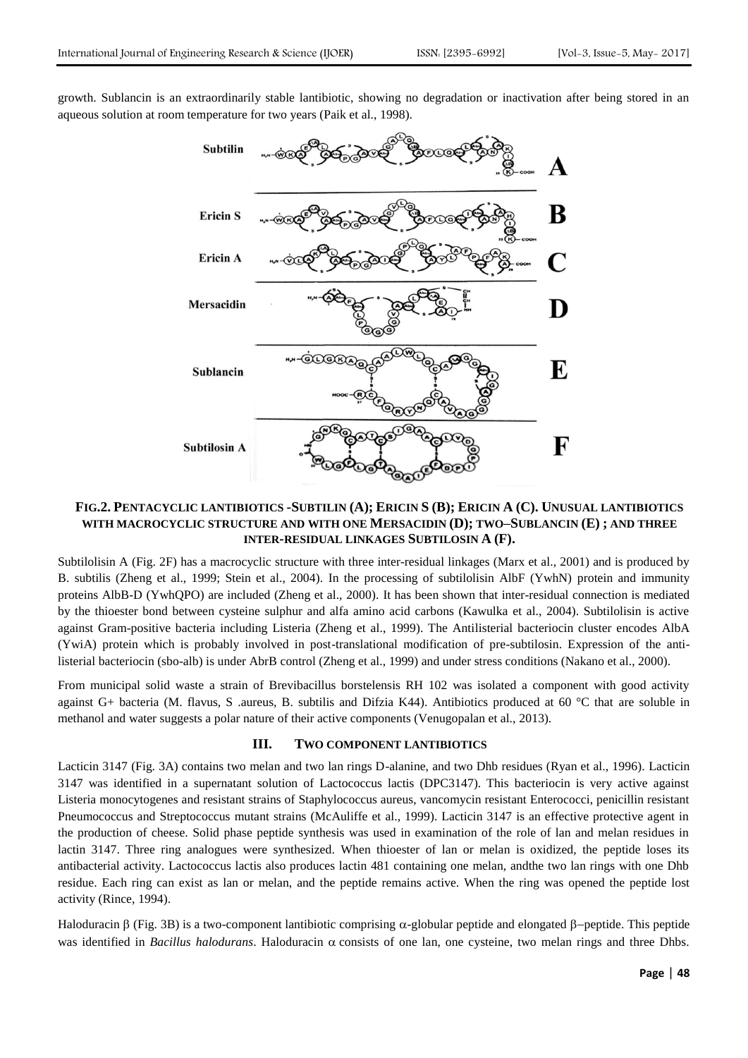growth. Sublancin is an extraordinarily stable lantibiotic, showing no degradation or inactivation after being stored in an aqueous solution at room temperature for two years (Paik et al., 1998).



# **FIG.2. P[ENTACYCLIC LANTIBIOTICS](javascript:void(0)) -SUBTILIN (A); ERICIN S (B); ERICIN A (C). UNUSUAL LANTIBIOTICS [WITH MACROCYCLIC STRUCTURE AND WITH ONE](javascript:void(0)) MERSACIDIN (D); TWO–SUBLANCIN (E) ; AND THREE INTER-[RESIDUAL LINKAGES](javascript:void(0)) SUBTILOSIN A (F).**

Subtilolisin A (Fig. 2F) has a macrocyclic structure with three inter-residual linkages (Marx et al., 2001) and is produced by B. subtilis (Zheng et al., 1999; Stein et al., 2004). In the processing of subtilolisin AlbF (YwhN) protein and immunity proteins AlbB-D (YwhQPO) are included (Zheng et al., 2000). It has been shown that inter-residual connection is mediated by the thioester bond between cysteine sulphur and alfa amino acid carbons (Kawulka et al., 2004). Subtilolisin is active against Gram-positive bacteria including Listeria (Zheng et al., 1999). The Antilisterial bacteriocin cluster encodes AlbA (YwiA) protein which is probably involved in post-translational modification of pre-subtilosin. Expression of the antilisterial bacteriocin (sbo-alb) is under AbrB control (Zheng et al., 1999) and under stress conditions (Nakano et al., 2000).

From municipal solid waste a strain of Brevibacillus borstelensis RH 102 was isolated a component with good activity against G+ bacteria (M. flavus, S. aureus, B. subtilis and Difzia K44). Antibiotics produced at 60  $\degree$ C that are soluble in methanol and water suggests a polar nature of their active components (Venugopalan et al., 2013).

#### **III. TWO COMPONENT LANTIBIOTICS**

Lacticin 3147 (Fig. 3A) contains two melan and two lan rings D-alanine, and two Dhb residues (Ryan et al., 1996). Lacticin 3147 was identified in a supernatant solution of Lactococcus lactis (DPC3147). This bacteriocin is very active against Listeria monocytogenes and resistant strains of Staphylococcus aureus, vancomycin resistant Enterococci, penicillin resistant Pneumococcus and Streptococcus mutant strains (McAuliffe et al., 1999). Lacticin 3147 is an effective protective agent in the production of cheese. Solid phase peptide synthesis was used in examination of the role of lan and melan residues in lactin 3147. Three ring analogues were synthesized. When thioester of lan or melan is oxidized, the peptide loses its antibacterial activity. Lactococcus lactis also produces lactin 481 containing one melan, andthe two lan rings with one Dhb residue. Each ring can exist as lan or melan, and the peptide remains active. When the ring was opened the peptide lost activity (Rince, 1994).

Haloduracin  $\beta$  (Fig. 3B) is a two-component lantibiotic comprising  $\alpha$ -globular peptide and elongated  $\beta$ -peptide. This peptide was identified in *Bacillus halodurans*. Haloduracin  $\alpha$  consists of one lan, one cysteine, two melan rings and three Dhbs.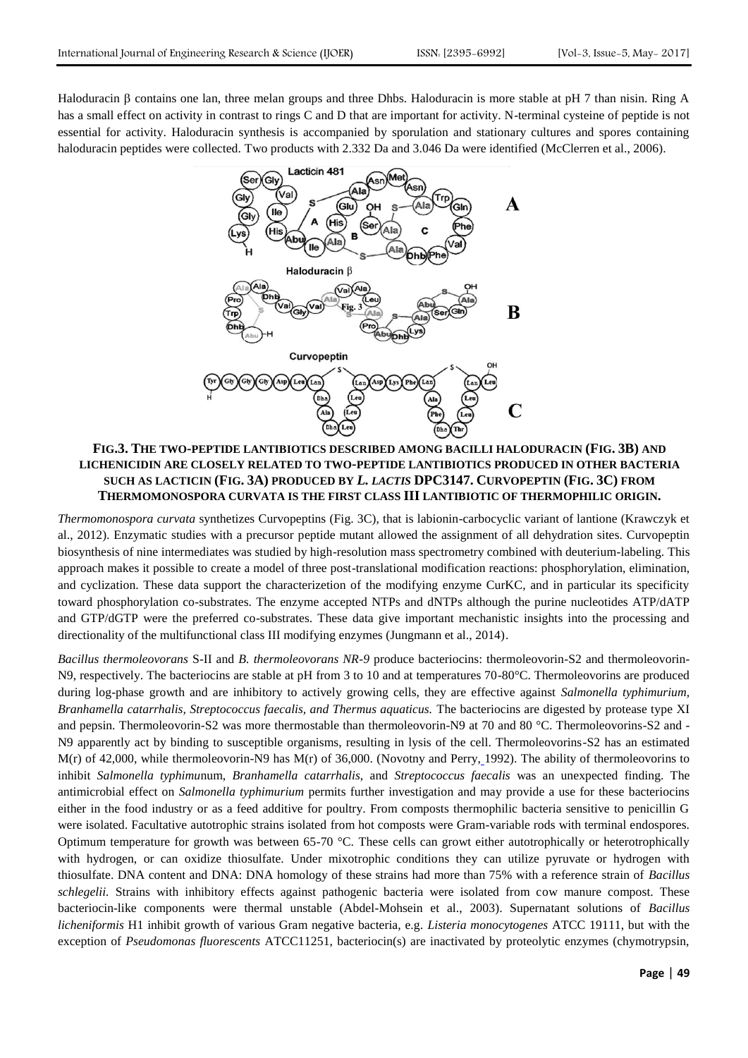Haloduracin  $\beta$  contains one lan, three melan groups and three Dhbs. Haloduracin is more stable at pH 7 than nisin. Ring A has a small effect on activity in contrast to rings C and D that are important for activity. N-terminal cysteine of peptide is not essential for activity. Haloduracin synthesis is accompanied by sporulation and stationary cultures and spores containing haloduracin peptides were collected. Two products with 2.332 Da and 3.046 Da were identified (McClerren et al., 2006).



**FIG.3. THE TWO-PEPTIDE LANTIBIOTICS DESCRIBED AMONG BACILLI HALODURACIN (FIG. 3B) AND LICHENICIDIN ARE CLOSELY RELATED TO TWO-PEPTIDE LANTIBIOTICS PRODUCED IN OTHER BACTERIA SUCH AS LACTICIN (FIG. 3A) PRODUCED BY** *L. LACTIS* **DPC3147. CURVOPEPTIN (FIG. 3C) FROM THERMOMONOSPORA CURVATA IS THE FIRST CLASS III LANTIBIOTIC OF THERMOPHILIC ORIGIN.**

*Thermomonospora curvata* synthetizes Curvopeptins (Fig. 3C), that is labionin-carbocyclic variant of lantione (Krawczyk et al., 2012). Enzymatic studies with a precursor peptide mutant allowed the assignment of all dehydration sites. Curvopeptin biosynthesis of nine intermediates was studied by high-resolution mass spectrometry combined with deuterium-labeling. This approach makes it possible to create a model of three post-translational modification reactions: phosphorylation, elimination, and cyclization. These data support the characterizetion of the modifying enzyme CurKC, and in particular its specificity toward phosphorylation co-substrates. The enzyme accepted NTPs and dNTPs although the purine nucleotides ATP/dATP and GTP/dGTP were the preferred co-substrates. These data give important mechanistic insights into the processing and directionality of the multifunctional class III modifying enzymes (Jungmann et al., 2014).

*Bacillus thermoleovorans* S-II and *B. thermoleovorans NR-9* produce bacteriocins: thermoleovorin-S2 and thermoleovorin-N9, respectively. The bacteriocins are stable at pH from 3 to 10 and at temperatures 70-80°C. Thermoleovorins are produced during log-phase growth and are inhibitory to actively growing cells, they are effective against *Salmonella typhimurium, Branhamella catarrhalis, Streptococcus faecalis, and Thermus aquaticus.* The bacteriocins are digested by protease type XI and pepsin. Thermoleovorin-S2 was more thermostable than thermoleovorin-N9 at 70 and 80 °C. Thermoleovorins-S2 and - N9 apparently act by binding to susceptible organisms, resulting in lysis of the cell. Thermoleovorins-S2 has an estimated M(r) of 42,000, while thermoleovorin-N9 has M(r) of 36,000. [\(Novotny a](http://www.ncbi.nlm.nih.gov/pubmed/?term=Novotny%20JF%20Jr%5BAuthor%5D&cauthor=true&cauthor_uid=1514786)nd [Perry,](http://www.ncbi.nlm.nih.gov/pubmed/?term=Perry%20JJ%5BAuthor%5D&cauthor=true&cauthor_uid=1514786) 1992). The ability of thermoleovorins to inhibit *Salmonella typhimu*num, *Branhamella catarrhalis*, and *Streptococcus faecalis* was an unexpected finding. The antimicrobial effect on *Salmonella typhimurium* permits further investigation and may provide a use for these bacteriocins either in the food industry or as a feed additive for poultry. From composts thermophilic bacteria sensitive to penicillin G were isolated. Facultative autotrophic strains isolated from hot composts were Gram-variable rods with terminal endospores. Optimum temperature for growth was between 65-70 °C. These cells can growt either autotrophically or heterotrophically with hydrogen, or can oxidize thiosulfate. Under mixotrophic conditions they can utilize pyruvate or hydrogen with thiosulfate. DNA content and DNA: DNA homology of these strains had more than 75% with a reference strain of *Bacillus schlegelii.* Strains with inhibitory effects against pathogenic bacteria were isolated from cow manure compost. These bacteriocin-like components were thermal unstable (Abdel-Mohsein et al., 2003). Supernatant solutions of *Bacillus licheniformis* H1 inhibit growth of various Gram negative bacteria, e.g. *Listeria monocytogenes* ATCC 19111, but with the exception of *Pseudomonas fluorescents* ATCC11251, bacteriocin(s) are inactivated by proteolytic enzymes (chymotrypsin,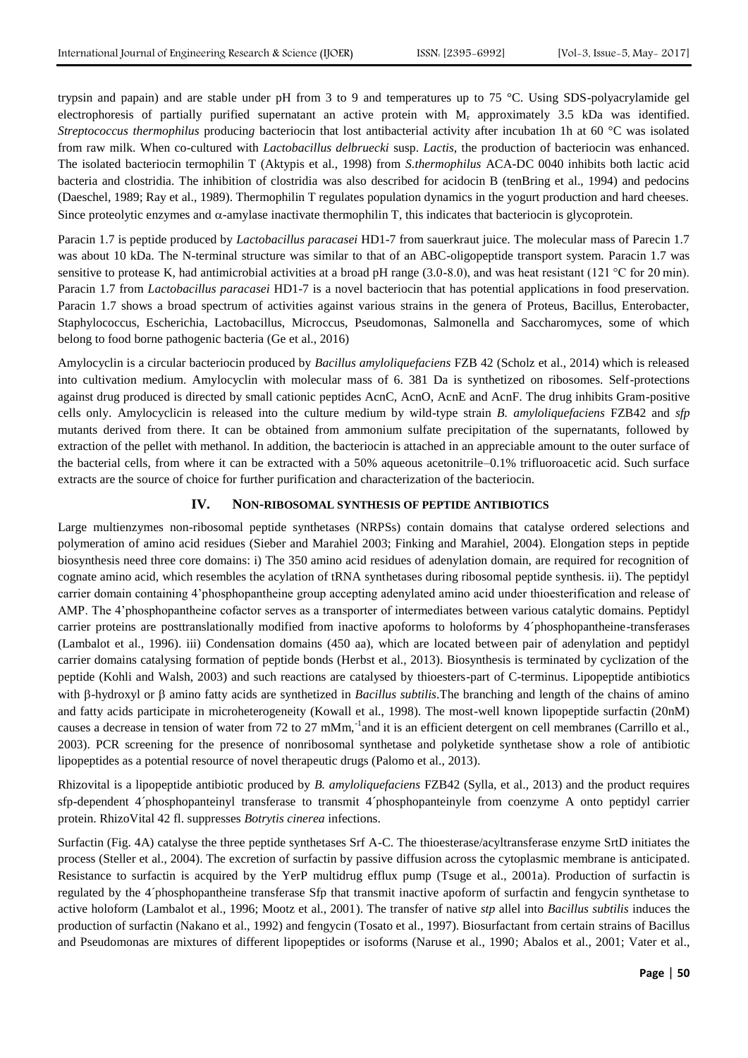trypsin and papain) and are stable under pH from 3 to 9 and temperatures up to 75 °C. Using SDS-polyacrylamide gel electrophoresis of partially purified supernatant an active protein with  $M_r$  approximately 3.5 kDa was identified. *Streptococcus thermophilus* producing bacteriocin that lost antibacterial activity after incubation 1h at 60 °C was isolated from raw milk. When co-cultured with *Lactobacillus delbruecki* susp. *Lactis,* the production of bacteriocin was enhanced. The isolated bacteriocin termophilin T (Aktypis et al., 1998) from *S.thermophilus* ACA-DC 0040 inhibits both lactic acid bacteria and clostridia. The inhibition of clostridia was also described for acidocin B (tenBring et al., 1994) and pedocins (Daeschel, 1989; Ray et al., 1989). Thermophilin T regulates population dynamics in the yogurt production and hard cheeses. Since proteolytic enzymes and  $\alpha$ -amylase inactivate thermophilin T, this indicates that bacteriocin is glycoprotein.

Paracin 1.7 is peptide produced by *Lactobacillus paracasei* HD1-7 from sauerkraut juice. The molecular mass of Parecin 1.7 was about 10 kDa. The N-terminal structure was similar to that of an ABC-oligopeptide transport system. Paracin 1.7 was sensitive to protease K, had antimicrobial activities at a broad pH range (3.0-8.0), and was heat resistant (121 °C for 20 min). Paracin 1.7 from *Lactobacillus paracasei* HD1-7 is a novel bacteriocin that has potential applications in food preservation. Paracin 1.7 shows a broad spectrum of activities against various strains in the genera of Proteus, Bacillus, Enterobacter, Staphylococcus, Escherichia, Lactobacillus, Microccus, Pseudomonas, Salmonella and Saccharomyces, some of which belong to food borne pathogenic bacteria (Ge et al., 2016)

Amylocyclin is a circular bacteriocin produced by *Bacillus amyloliquefaciens* FZB 42 (Scholz et al., 2014) which is released into cultivation medium. Amylocyclin with molecular mass of 6. 381 Da is synthetized on ribosomes. Self-protections against drug produced is directed by small cationic peptides AcnC, AcnO, AcnE and AcnF. The drug inhibits Gram-positive cells only. Amylocyclicin is released into the culture medium by wild-type strain *B. amyloliquefaciens* FZB42 and *sfp* mutants derived from there. It can be obtained from ammonium sulfate precipitation of the supernatants, followed by extraction of the pellet with methanol. In addition, the bacteriocin is attached in an appreciable amount to the outer surface of the bacterial cells, from where it can be extracted with a 50% aqueous acetonitrile–0.1% trifluoroacetic acid. Such surface extracts are the source of choice for further purification and characterization of the bacteriocin.

## **IV. NON-RIBOSOMAL SYNTHESIS OF PEPTIDE ANTIBIOTICS**

Large multienzymes non-ribosomal peptide synthetases (NRPSs) contain domains that catalyse ordered selections and polymeration of amino acid residues (Sieber and Marahiel 2003; Finking and Marahiel, 2004). Elongation steps in peptide biosynthesis need three core domains: i) The 350 amino acid residues of adenylation domain, are required for recognition of cognate amino acid, which resembles the acylation of tRNA synthetases during ribosomal peptide synthesis. ii). The peptidyl carrier domain containing 4'phosphopantheine group accepting adenylated amino acid under thioesterification and release of AMP. The 4'phosphopantheine cofactor serves as a transporter of intermediates between various catalytic domains. Peptidyl carrier proteins are posttranslationally modified from inactive apoforms to holoforms by 4´phosphopantheine-transferases (Lambalot et al., 1996). iii) Condensation domains (450 aa), which are located between pair of adenylation and peptidyl carrier domains catalysing formation of peptide bonds (Herbst et al., 2013). Biosynthesis is terminated by cyclization of the peptide (Kohli and Walsh, 2003) and such reactions are catalysed by thioesters-part of C-terminus. Lipopeptide antibiotics with  $\beta$ -hydroxyl or  $\beta$  amino fatty acids are synthetized in *Bacillus subtilis*. The branching and length of the chains of amino and fatty acids participate in microheterogeneity (Kowall et al., 1998). The most-well known lipopeptide surfactin (20nM) causes a decrease in tension of water from 72 to 27 mMm,<sup>-1</sup> and it is an efficient detergent on cell membranes (Carrillo et al., 2003). PCR screening for the presence of nonribosomal synthetase and polyketide synthetase show a role of antibiotic lipopeptides as a potential resource of novel therapeutic drugs (Palomo et al., 2013).

Rhizovital is a lipopeptide antibiotic produced by *B. amyloliquefaciens* FZB42 (Sylla, et al., 2013) and the product requires sfp-dependent 4´phosphopanteinyl transferase to transmit 4´phosphopanteinyle from coenzyme A onto peptidyl carrier protein. RhizoVital 42 fl. suppresses *Botrytis cinerea* infections.

Surfactin (Fig. 4A) catalyse the three peptide synthetases Srf A-C. The thioesterase/acyltransferase enzyme SrtD initiates the process (Steller et al., 2004). The excretion of surfactin by passive diffusion across the cytoplasmic membrane is anticipated. Resistance to surfactin is acquired by the YerP multidrug efflux pump (Tsuge et al., 2001a). Production of surfactin is regulated by the 4´phosphopantheine transferase Sfp that transmit inactive apoform of surfactin and fengycin synthetase to active holoform (Lambalot et al., 1996; Mootz et al., 2001). The transfer of native *stp* allel into *Bacillus subtilis* induces the production of surfactin (Nakano et al., 1992) and fengycin (Tosato et al., 1997). Biosurfactant from certain strains of Bacillus and Pseudomonas are mixtures of different lipopeptides or isoforms (Naruse et al., 1990; Abalos et al., 2001; Vater et al.,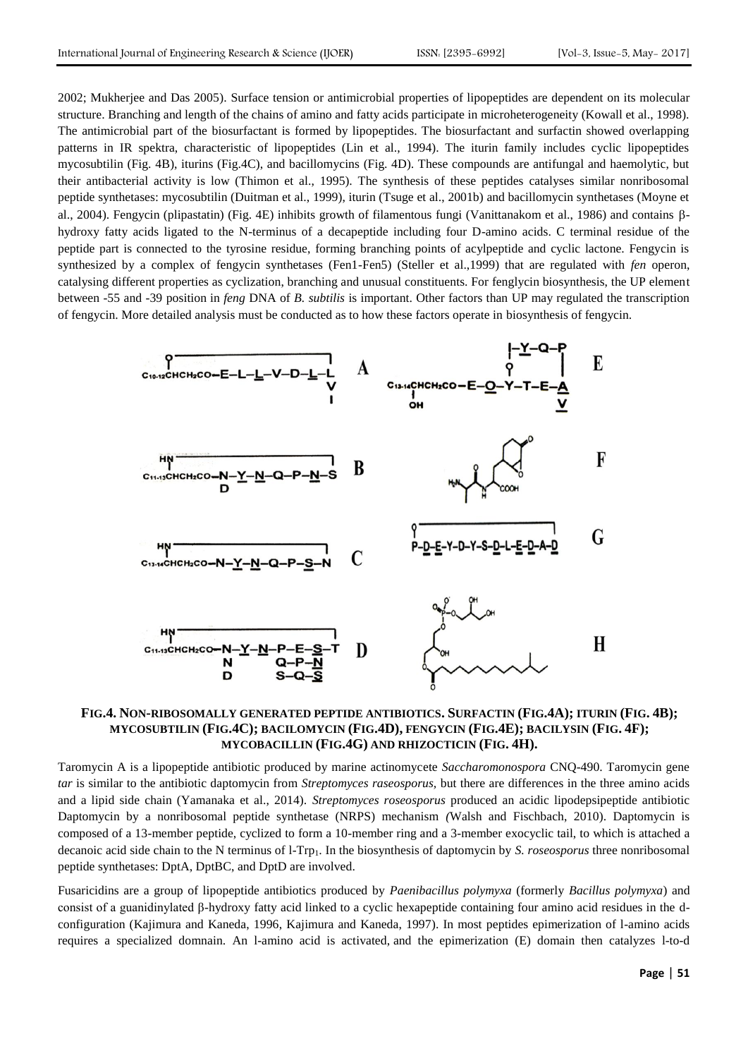2002; Mukherjee and Das 2005). Surface tension or antimicrobial properties of lipopeptides are dependent on its molecular structure. Branching and length of the chains of amino and fatty acids participate in microheterogeneity (Kowall et al., 1998). The antimicrobial part of the biosurfactant is formed by lipopeptides. The biosurfactant and surfactin showed overlapping patterns in IR spektra, characteristic of lipopeptides (Lin et al., 1994). The iturin family includes cyclic lipopeptides mycosubtilin (Fig. 4B), iturins (Fig.4C), and bacillomycins (Fig. 4D). These compounds are antifungal and haemolytic, but their antibacterial activity is low (Thimon et al., 1995). The synthesis of these peptides catalyses similar nonribosomal peptide synthetases: mycosubtilin (Duitman et al., 1999), iturin (Tsuge et al., 2001b) and bacillomycin synthetases (Moyne et al., 2004). Fengycin (plipastatin) (Fig. 4E) inhibits growth of filamentous fungi (Vanittanakom et al., 1986) and contains  $\beta$ hydroxy fatty acids ligated to the N-terminus of a decapeptide including four D-amino acids. C terminal residue of the peptide part is connected to the tyrosine residue, forming branching points of acylpeptide and cyclic lactone. Fengycin is synthesized by a complex of fengycin synthetases (Fen1-Fen5) (Steller et al.,1999) that are regulated with *fen* operon, catalysing different properties as cyclization, branching and unusual constituents. For fenglycin biosynthesis, the UP element between -55 and -39 position in *feng* DNA of *B. subtilis* is important. Other factors than UP may regulated the transcription of fengycin. More detailed analysis must be conducted as to how these factors operate in biosynthesis of fengycin.



# **FIG.4. NON-RIBOSOMALLY GENERATED PEPTIDE ANTIBIOTICS. SURFACTIN (FIG.4A); ITURIN (FIG. 4B); MYCOSUBTILIN (FIG.4C); BACILOMYCIN (FIG.4D), FENGYCIN (FIG.4E); BACILYSIN (FIG. 4F); MYCOBACILLIN (FIG.4G) AND RHIZOCTICIN (FIG. 4H).**

Taromycin A is a lipopeptide antibiotic produced by marine actinomycete *Saccharomonospora* CNQ-490. Taromycin gene *tar* is similar to the antibiotic daptomycin from *Streptomyces raseosporus,* but there are differences in the three amino acids and a lipid side chain (Yamanaka et al., 2014). *Streptomyces roseosporus* produced an acidic lipodepsipeptide antibiotic Daptomycin by a nonribosomal peptide synthetase (NRPS) mechanism *(*Walsh and Fischbach, 2010). Daptomycin is composed of a 13-member peptide, cyclized to form a 10-member ring and a 3-member exocyclic tail, to which is attached a decanoic acid side chain to the N terminus of 1-Trp<sub>1</sub>. In the biosynthesis of daptomycin by *S. roseosporus* three nonribosomal peptide synthetases: DptA, DptBC, and DptD are involved.

Fusaricidins are a group of lipopeptide antibiotics produced by *Paenibacillus polymyxa* (formerly *Bacillus polymyxa*) and consist of a guanidinylated β-hydroxy fatty acid linked to a cyclic hexapeptide containing four amino acid residues in the dconfiguration [\(Kajimura and Kaneda, 1996,](http://www.sciencedirect.com/science/article/pii/S1074552107004462#bib13) [Kajimura and Kaneda, 1997\)](http://www.sciencedirect.com/science/article/pii/S1074552107004462#bib14). In most peptides epimerization of l-amino acids requires a specialized domnain. An l-amino acid is activated, and the epimerization (E) domain then catalyzes l-to-d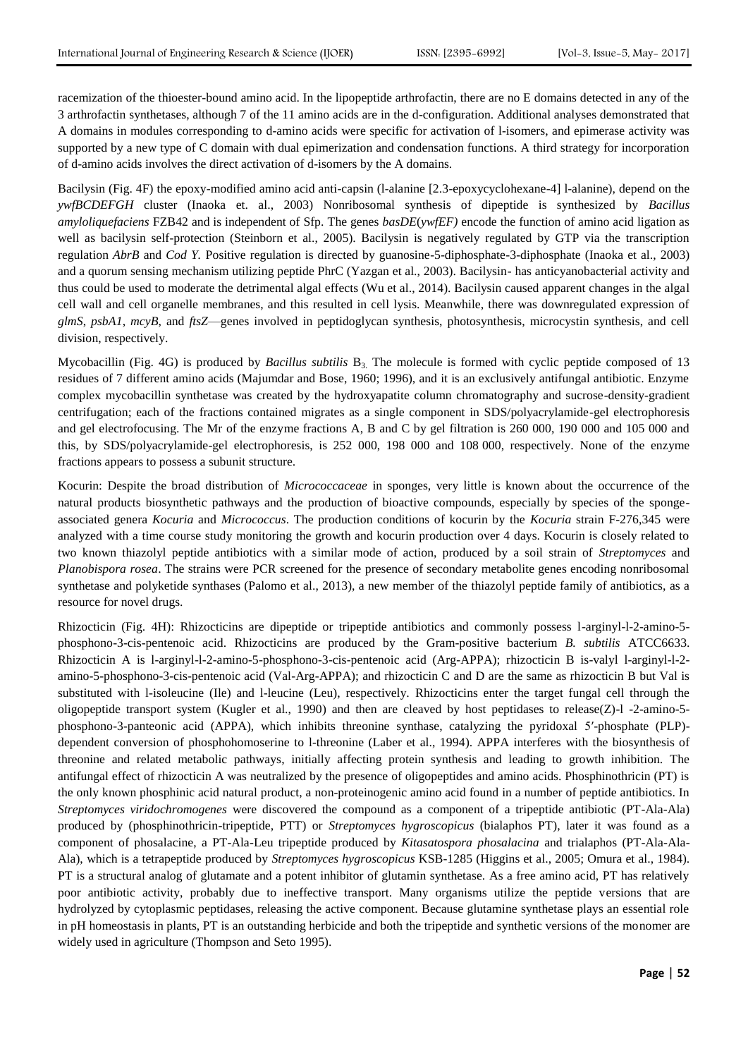racemization of the thioester-bound amino acid. In the lipopeptide arthrofactin, there are no E domains detected in any of the 3 arthrofactin synthetases, although 7 of the 11 amino acids are in the d-configuration. Additional analyses demonstrated that A domains in modules corresponding to d-amino acids were specific for activation of l-isomers, and epimerase activity was supported by a new type of C domain with dual epimerization and condensation functions. A third strategy for incorporation of d-amino acids involves the direct activation of d-isomers by the A domains.

Bacilysin (Fig. 4F) the epoxy-modified amino acid anti-capsin (l-alanine [2.3-epoxycyclohexane-4] l-alanine), depend on the *ywfBCDEFGH* cluster (Inaoka et. al., 2003) Nonribosomal synthesis of dipeptide is synthesized by *Bacillus amyloliquefaciens* FZB42 and is independent of Sfp. The genes *basDE*(*ywfEF)* encode the function of amino acid ligation as well as bacilysin self-protection (Steinborn et al., 2005). Bacilysin is negatively regulated by GTP via the transcription regulation *AbrB* and *Cod Y.* Positive regulation is directed by guanosine-5-diphosphate-3-diphosphate (Inaoka et al., 2003) and a quorum sensing mechanism utilizing peptide PhrC (Yazgan et al., 2003). Bacilysin- has anticyanobacterial activity and thus could be used to moderate the detrimental algal effects (Wu et al., 2014). Bacilysin caused apparent changes in the algal cell wall and cell organelle membranes, and this resulted in cell lysis. Meanwhile, there was downregulated expression of *glmS*, *psbA1*, *mcyB*, and *ftsZ*—genes involved in peptidoglycan synthesis, photosynthesis, microcystin synthesis, and cell division, respectively.

Mycobacillin (Fig. 4G) is produced by *Bacillus subtilis* B3. The molecule is formed with cyclic peptide composed of 13 residues of 7 different amino acids (Majumdar and Bose, 1960; 1996), and it is an exclusively antifungal antibiotic. Enzyme complex mycobacillin synthetase was created by the hydroxyapatite column chromatography and sucrose-density-gradient centrifugation; each of the fractions contained migrates as a single component in SDS/polyacrylamide-gel electrophoresis and gel electrofocusing. The Mr of the enzyme fractions A, B and C by gel filtration is 260 000, 190 000 and 105 000 and this, by SDS/polyacrylamide-gel electrophoresis, is 252 000, 198 000 and 108 000, respectively. None of the enzyme fractions appears to possess a subunit structure.

Kocurin: Despite the broad distribution of *Micrococcaceae* in sponges, very little is known about the occurrence of the natural products biosynthetic pathways and the production of bioactive compounds, especially by species of the spongeassociated genera *Kocuria* and *Micrococcus*. The production conditions of kocurin by the *Kocuria* strain F-276,345 were analyzed with a time course study monitoring the growth and kocurin production over 4 days. Kocurin is closely related to two known thiazolyl peptide antibiotics with a similar mode of action, produced by a soil strain of *Streptomyces* and *Planobispora rosea*. The strains were PCR screened for the presence of secondary metabolite genes encoding nonribosomal synthetase and polyketide synthases (Palomo et al., 2013), a new member of the thiazolyl peptide family of antibiotics, as a resource for novel drugs.

Rhizocticin (Fig. 4H): Rhizocticins are dipeptide or tripeptide antibiotics and commonly possess l-arginyl-l-2-amino-5 phosphono-3-cis-pentenoic acid. Rhizocticins are produced by the Gram-positive bacterium *B. subtilis* ATCC6633. Rhizocticin A is l-arginyl-l-2-amino-5-phosphono-3-cis-pentenoic acid (Arg-APPA); rhizocticin B is-valyl l-arginyl-l-2 amino-5-phosphono-3-cis-pentenoic acid (Val-Arg-APPA); and rhizocticin C and D are the same as rhizocticin B but Val is substituted with l-isoleucine (Ile) and l-leucine (Leu), respectively. Rhizocticins enter the target fungal cell through the oligopeptide transport system [\(Kugler et al., 1990\)](http://www.ncbi.nlm.nih.gov/pmc/articles/PMC2819989/#R26) and then are cleaved by host peptidases to release(Z)-l -2-amino-5 phosphono-3-panteonic acid (APPA), which inhibits threonine synthase, catalyzing the pyridoxal 5′-phosphate (PLP) dependent conversion of phosphohomoserine to l-threonine [\(Laber et al., 1994\)](http://www.ncbi.nlm.nih.gov/pmc/articles/PMC2819989/#R28). APPA interferes with the biosynthesis of threonine and related metabolic pathways, initially affecting protein synthesis and leading to growth inhibition. The antifungal effect of rhizocticin A was neutralized by the presence of oligopeptides and amino acids. Phosphinothricin (PT) is the only known phosphinic acid natural product, a non-proteinogenic amino acid found in a number of peptide antibiotics. In *Streptomyces viridochromogenes* were discovered the compound as a component of a tripeptide antibiotic (PT-Ala-Ala) produced by (phosphinothricin-tripeptide, PTT) or *Streptomyces hygroscopicus* (bialaphos PT), later it was found as a component of phosalacine, a PT-Ala-Leu tripeptide produced by *Kitasatospora phosalacina* and trialaphos (PT-Ala-Ala-Ala), which is a tetrapeptide produced by *Streptomyces hygroscopicus* KSB-1285 (Higgins et al., 2005; Omura et al., 1984). PT is a structural analog of glutamate and a potent inhibitor of glutamin synthetase. As a free amino acid, PT has relatively poor antibiotic activity, probably due to ineffective transport. Many organisms utilize the peptide versions that are hydrolyzed by cytoplasmic peptidases, releasing the active component. Because glutamine synthetase plays an essential role in pH homeostasis in plants, PT is an outstanding herbicide and both the tripeptide and synthetic versions of the monomer are widely used in agriculture (Thompson and Seto 1995).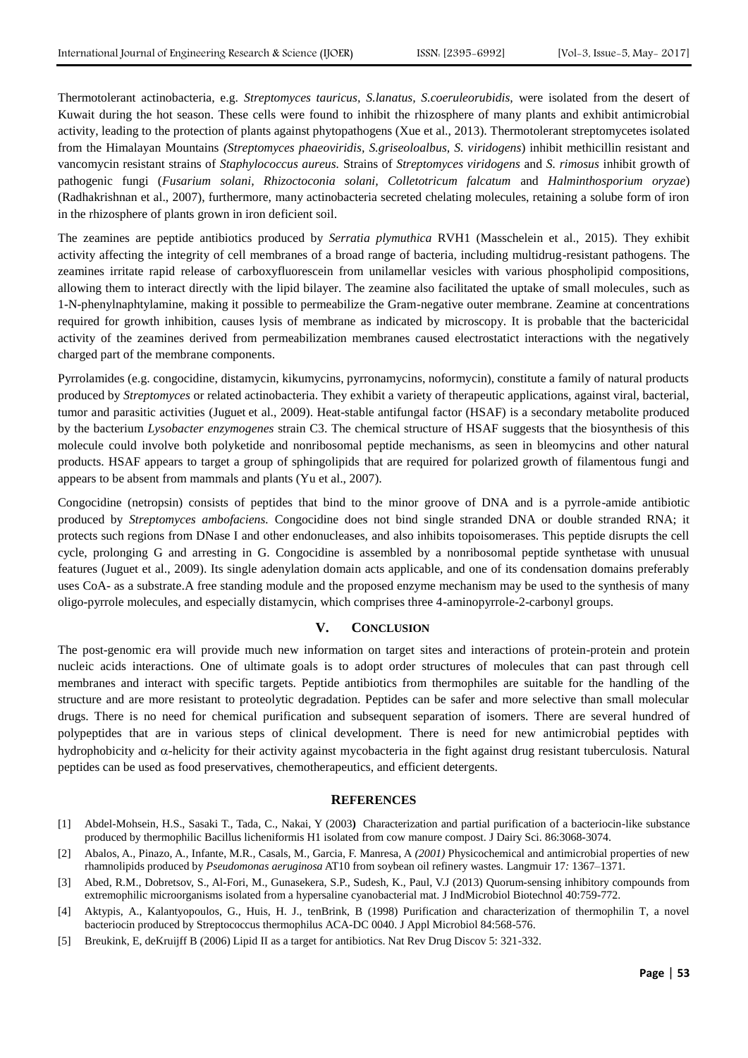Thermotolerant actinobacteria, e.g. *Streptomyces tauricus, S.lanatus, S.coeruleorubidis,* were isolated from the desert of Kuwait during the hot season. These cells were found to inhibit the rhizosphere of many plants and exhibit antimicrobial activity, leading to the protection of plants against phytopathogens (Xue et al., 2013). Thermotolerant streptomycetes isolated from the Himalayan Mountains *(Streptomyces phaeoviridis, S.griseoloalbus, S. viridogens*) inhibit methicillin resistant and vancomycin resistant strains of *Staphylococcus aureus.* Strains of *Streptomyces viridogens* and *S. rimosus* inhibit growth of pathogenic fungi (*Fusarium solani, Rhizoctoconia solani, Colletotricum falcatum* and *Halminthosporium oryzae*) (Radhakrishnan et al., 2007), furthermore, many actinobacteria secreted chelating molecules, retaining a solube form of iron in the rhizosphere of plants grown in iron deficient soil.

The zeamines are peptide antibiotics produced by *Serratia plymuthica* RVH1 [\(Masschelein](http://www.ncbi.nlm.nih.gov/pubmed/?term=Masschelein%20J%5Bauth%5D) et al., 2015). They exhibit activity affecting the integrity of cell membranes of a broad range of bacteria, including multidrug-resistant pathogens. The zeamines irritate rapid release of carboxyfluorescein from unilamellar vesicles with various phospholipid compositions, allowing them to interact directly with the lipid bilayer. The zeamine also facilitated the uptake of small molecules, such as 1-N-phenylnaphtylamine, making it possible to permeabilize the Gram-negative outer membrane. Zeamine at concentrations required for growth inhibition, causes lysis of membrane as indicated by microscopy. It is probable that the bactericidal activity of the zeamines derived from permeabilization membranes caused electrostatict interactions with the negatively charged part of the membrane components.

Pyrrolamides (e.g. congocidine, distamycin, kikumycins, pyrronamycins, noformycin), constitute a family of natural products produced by *Streptomyces* or related actinobacteria. They exhibit a variety of therapeutic applications, against viral, bacterial, tumor and parasitic activities [\(Juguet](http://www.sciencedirect.com/science/article/pii/S1074552109001136) et al., 2009). Heat-stable antifungal factor (HSAF) is a secondary metabolite produced by the bacterium *Lysobacter enzymogenes* strain C3. The chemical structure of HSAF suggests that the biosynthesis of this molecule could involve both polyketide and nonribosomal peptide mechanisms, as seen in bleomycins and other natural products. HSAF appears to target a group of sphingolipids that are required for polarized growth of filamentous fungi and appears to be absent from mammals and plants (Yu et al., 2007).

Congocidine (netropsin) consists of peptides that bind to the minor groove of DNA and is a pyrrole-amide antibiotic produced by *Streptomyces ambofaciens.* Congocidine does not bind single stranded DNA or double stranded RNA; it protects such regions from DNase I and other endonucleases, and also inhibits topoisomerases. This peptide disrupts the cell cycle, prolonging G and arresting in G. Congocidine is assembled by a nonribosomal peptide synthetase with unusual features (Juguet et al., 2009). Its single adenylation domain acts applicable, and one of its condensation domains preferably uses CoA- as a substrate.A free standing module and the proposed enzyme mechanism may be used to the synthesis of many oligo-pyrrole molecules, and especially distamycin, which comprises three 4-aminopyrrole-2-carbonyl groups.

# **V. CONCLUSION**

The post-genomic era will provide much new information on target sites and interactions of protein-protein and protein nucleic acids interactions. One of ultimate goals is to adopt order structures of molecules that can past through cell membranes and interact with specific targets. Peptide antibiotics from thermophiles are suitable for the handling of the structure and are more resistant to proteolytic degradation. Peptides can be safer and more selective than small molecular drugs. There is no need for chemical purification and subsequent separation of isomers. There are several hundred of polypeptides that are in various steps of clinical development. There is need for new antimicrobial peptides with hydrophobicity and  $\alpha$ -helicity for their activity against mycobacteria in the fight against drug resistant tuberculosis. Natural peptides can be used as food preservatives, chemotherapeutics, and efficient detergents.

#### **REFERENCES**

[1] [Abdel-Mohsein, H.S.](http://www.ncbi.nlm.nih.gov/pubmed/?term=Abdel-Mohsein%20HS%5BAuthor%5D&cauthor=true&cauthor_uid=21729216), [Sasaki T.](http://www.ncbi.nlm.nih.gov/pubmed/?term=Sasaki%20T%5BAuthor%5D&cauthor=true&cauthor_uid=21729216), [Tada, C.](http://www.ncbi.nlm.nih.gov/pubmed/?term=Tada%20C%5BAuthor%5D&cauthor=true&cauthor_uid=21729216), [Nakai, Y](http://www.ncbi.nlm.nih.gov/pubmed/?term=Nakai%20Y%5BAuthor%5D&cauthor=true&cauthor_uid=21729216) (2003**)** Characterization and partial purification of a bacteriocin-like substance produced by thermophilic Bacillus licheniformis H1 isolated from cow manure compost. [J Dairy Sci.](http://www.ncbi.nlm.nih.gov/pubmed/14594223) 86:3068-3074.

[2] Abalos, A.*,* Pinazo, A.*,* Infante, M.R.*,* Casals, M.*,* Garcia, F. Manresa, A *(2001)* Physicochemical and antimicrobial properties of new rhamnolipids produced by *Pseudomonas aeruginosa* AT10 from soybean oil refinery wastes*.* Langmuir 17*:* 1367*–*1371*.* 

- [3] [Abed, R.M.](http://www.ncbi.nlm.nih.gov/pubmed/?term=Abed%20RM%5BAuthor%5D&cauthor=true&cauthor_uid=23645384), [Dobretsov, S.](http://www.ncbi.nlm.nih.gov/pubmed/?term=Dobretsov%20S%5BAuthor%5D&cauthor=true&cauthor_uid=23645384)[, Al-Fori, M.](http://www.ncbi.nlm.nih.gov/pubmed/?term=Al-Fori%20M%5BAuthor%5D&cauthor=true&cauthor_uid=23645384)[, Gunasekera, S.P.](http://www.ncbi.nlm.nih.gov/pubmed/?term=Gunasekera%20SP%5BAuthor%5D&cauthor=true&cauthor_uid=23645384), [Sudesh, K.](http://www.ncbi.nlm.nih.gov/pubmed/?term=Sudesh%20K%5BAuthor%5D&cauthor=true&cauthor_uid=23645384), [Paul, V.J](http://www.ncbi.nlm.nih.gov/pubmed/?term=Paul%20VJ%5BAuthor%5D&cauthor=true&cauthor_uid=23645384) (2013) Quorum-sensing inhibitory compounds from extremophilic microorganisms isolated from a hypersaline cyanobacterial mat. [J IndMicrobiol Biotechnol](http://www.ncbi.nlm.nih.gov/pubmed/23645384) 40:759-772.
- [4] Aktypis, A., Kalantyopoulos, G., Huis, H. J., tenBrink, B (1998) Purification and characterization of thermophilin T, a novel bacteriocin produced by Streptococcus thermophilus ACA-DC 0040. J Appl Microbiol 84:568-576.
- [5] Breukink, E, deKruijff B (2006) Lipid II as a target for antibiotics. Nat Rev Drug Discov 5: 321-332.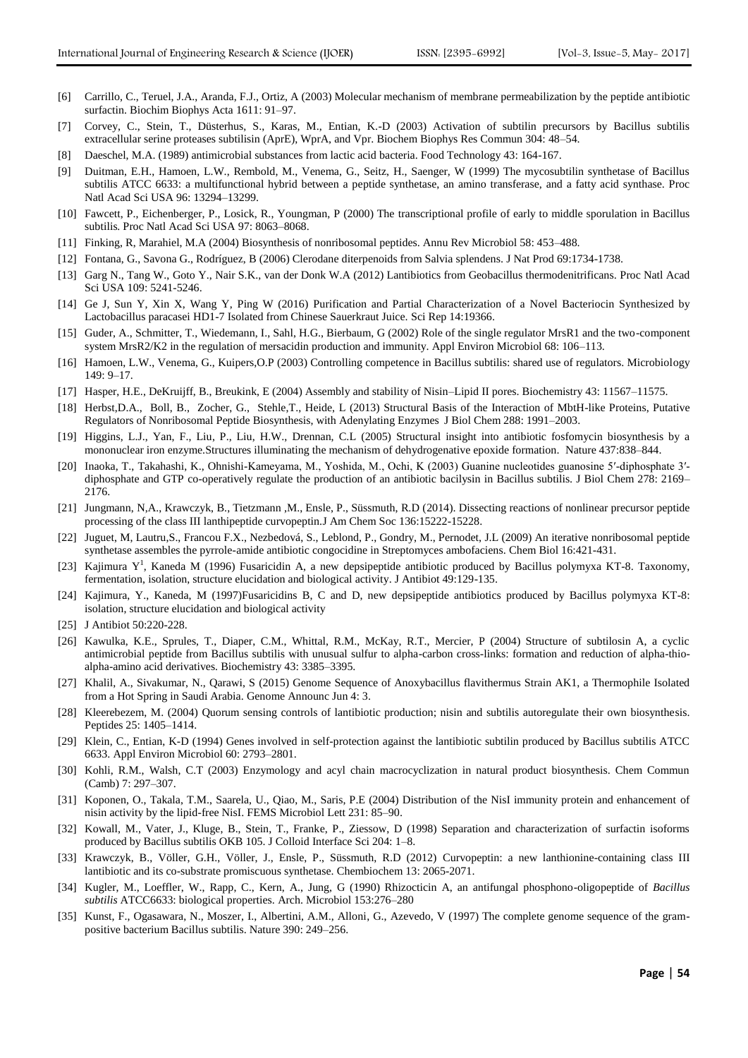- [6] Carrillo, C., Teruel, J.A., Aranda, F.J., Ortiz, A (2003) Molecular mechanism of membrane permeabilization by the peptide antibiotic surfactin. Biochim Biophys Acta 1611: 91–97.
- [7] Corvey, C., Stein, T., Düsterhus, S., Karas, M., Entian, K.-D (2003) Activation of subtilin precursors by Bacillus subtilis extracellular serine proteases subtilisin (AprE), WprA, and Vpr. Biochem Biophys Res Commun 304: 48–54.
- [8] Daeschel, M.A. (1989) antimicrobial substances from lactic acid bacteria. Food Technology 43: 164-167.
- [9] Duitman, E.H., Hamoen, L.W., Rembold, M., Venema, G., Seitz, H., Saenger, W (1999) The mycosubtilin synthetase of Bacillus subtilis ATCC 6633: a multifunctional hybrid between a peptide synthetase, an amino transferase, and a fatty acid synthase. Proc Natl Acad Sci USA 96: 13294–13299.
- [10] Fawcett, P., Eichenberger, P., Losick, R., Youngman, P (2000) The transcriptional profile of early to middle sporulation in Bacillus subtilis. Proc Natl Acad Sci USA 97: 8063–8068.
- [11] Finking, R, Marahiel, M.A (2004) Biosynthesis of nonribosomal peptides. Annu Rev Microbiol 58: 453–488.
- [12] Fontana, G., Savona G., Rodríguez, B (2006) [Clerodane diterpenoids from Salvia splendens.](http://www.ncbi.nlm.nih.gov/pubmed/17190451) J Nat Prod 69:1734-1738.
- [13] [Garg N.,](http://www.ncbi.nlm.nih.gov/pubmed/?term=Garg%20N%5BAuthor%5D&cauthor=true&cauthor_uid=22431611) [Tang W.,](http://www.ncbi.nlm.nih.gov/pubmed/?term=Tang%20W%5BAuthor%5D&cauthor=true&cauthor_uid=22431611) [Goto Y.,](http://www.ncbi.nlm.nih.gov/pubmed/?term=Goto%20Y%5BAuthor%5D&cauthor=true&cauthor_uid=22431611) [Nair S.K.,](http://www.ncbi.nlm.nih.gov/pubmed/?term=Nair%20SK%5BAuthor%5D&cauthor=true&cauthor_uid=22431611) [van der Donk W.A](http://www.ncbi.nlm.nih.gov/pubmed/?term=van%20der%20Donk%20WA%5BAuthor%5D&cauthor=true&cauthor_uid=22431611) (2012) Lantibiotics from Geobacillus thermodenitrificans[. Proc Natl Acad](http://www.ncbi.nlm.nih.gov/pubmed/?term=Garg+N%2C+Tang+W%2C+Goto+Z%2C+Nair+S.K%2C+van+der+Donk+W.A.+%282012%29+Proc.Natl.Acad.Sci.+USA.+109%2C+5241-5246.)  [Sci USA](http://www.ncbi.nlm.nih.gov/pubmed/?term=Garg+N%2C+Tang+W%2C+Goto+Z%2C+Nair+S.K%2C+van+der+Donk+W.A.+%282012%29+Proc.Natl.Acad.Sci.+USA.+109%2C+5241-5246.) 109: 5241-5246.
- [14] Ge J, Sun Y, Xin X, Wang Y, Ping W (2016) [Purification and Partial Characterization of a Novel Bacteriocin Synthesized by](http://www.ncbi.nlm.nih.gov/pubmed/26763314)  [Lactobacillus paracasei HD1-7 Isolated from Chinese Sauerkraut Juice.](http://www.ncbi.nlm.nih.gov/pubmed/26763314) Sci Rep 14:19366.
- [15] Guder, A., Schmitter, T., Wiedemann, I., Sahl, H.G., Bierbaum, G (2002) Role of the single regulator MrsR1 and the two-component system MrsR2/K2 in the regulation of mersacidin production and immunity. Appl Environ Microbiol 68: 106–113.
- [16] Hamoen, L.W., Venema, G., Kuipers,O.P (2003) Controlling competence in Bacillus subtilis: shared use of regulators. Microbiology 149: 9–17.
- [17] Hasper, H.E., DeKruijff, B., Breukink, E (2004) Assembly and stability of Nisin–Lipid II pores. Biochemistry 43: 11567–11575.
- [18] [Herbst,D](http://www.ncbi.nlm.nih.gov/pubmed/?term=Herbst%20DA%5Bauth%5D).A., [Boll,](http://www.ncbi.nlm.nih.gov/pubmed/?term=Boll%20B%5Bauth%5D) B., [Zocher,](http://www.ncbi.nlm.nih.gov/pubmed/?term=Zocher%20G%5Bauth%5D) G., [Stehle,T](http://www.ncbi.nlm.nih.gov/pubmed/?term=Stehle%20T%5Bauth%5D)., [Heide,](http://www.ncbi.nlm.nih.gov/pubmed/?term=Heide%20L%5Bauth%5D) L (2013) Structural Basis of the Interaction of MbtH-like Proteins, Putative Regulators of Nonribosomal Peptide Biosynthesis, with Adenylating Enzymes J Biol Chem 288: 1991–2003.
- [19] Higgins, L.J., Yan, F., Liu, P., Liu, H.W., Drennan, C.L (2005) Structural insight into antibiotic fosfomycin biosynthesis by a mononuclear iron enzyme.Structures illuminating the mechanism of dehydrogenative epoxide formation. Nature 437:838–844.
- [20] Inaoka, T., Takahashi, K., Ohnishi-Kameyama, M., Yoshida, M., Ochi, K (2003) Guanine nucleotides guanosine 5′-diphosphate 3′ diphosphate and GTP co-operatively regulate the production of an antibiotic bacilysin in Bacillus subtilis. J Biol Chem 278: 2169– 2176.
- [21] Jungmann, N,A., Krawczyk, B., Tietzmann ,M., Ensle, P., Süssmuth, R.D (2014). [Dissecting reactions of nonlinear precursor peptide](http://www.ncbi.nlm.nih.gov/pubmed/25291240)  [processing of the class III lanthipeptide curvopeptin.J](http://www.ncbi.nlm.nih.gov/pubmed/25291240) Am Chem Soc 136:15222-15228.
- [22] [Juguet, M,](http://www.ncbi.nlm.nih.gov/pubmed/?term=Juguet%20M%5BAuthor%5D&cauthor=true&cauthor_uid=19389628) [Lautru,S.,](http://www.ncbi.nlm.nih.gov/pubmed/?term=Lautru%20S%5BAuthor%5D&cauthor=true&cauthor_uid=19389628) [Francou F.X.](http://www.ncbi.nlm.nih.gov/pubmed/?term=Francou%20FX%5BAuthor%5D&cauthor=true&cauthor_uid=19389628)[, Nezbedová, S.](http://www.ncbi.nlm.nih.gov/pubmed/?term=Nezbedov%C3%A1%20S%5BAuthor%5D&cauthor=true&cauthor_uid=19389628)[, Leblond, P.,](http://www.ncbi.nlm.nih.gov/pubmed/?term=Leblond%20P%5BAuthor%5D&cauthor=true&cauthor_uid=19389628) [Gondry, M.](http://www.ncbi.nlm.nih.gov/pubmed/?term=Gondry%20M%5BAuthor%5D&cauthor=true&cauthor_uid=19389628), [Pernodet, J.L](http://www.ncbi.nlm.nih.gov/pubmed/?term=Pernodet%20JL%5BAuthor%5D&cauthor=true&cauthor_uid=19389628) (2009) An iterative nonribosomal peptide synthetase assembles the pyrrole-amide antibiotic congocidine in Streptomyces ambofaciens. [Chem Biol](http://www.ncbi.nlm.nih.gov/pubmed/19389628) 16:421-431.
- [23] [Kajimura](http://www.ncbi.nlm.nih.gov/pubmed/?term=Kajimura%20Y%5BAuthor%5D&cauthor=true&cauthor_uid=8621351) Y<sup>1</sup>, [Kaneda](http://www.ncbi.nlm.nih.gov/pubmed/?term=Kaneda%20M%5BAuthor%5D&cauthor=true&cauthor_uid=8621351) M (1996) Fusaricidin A, a new depsipeptide antibiotic produced by Bacillus polymyxa KT-8. Taxonomy, fermentation, isolation, structure elucidation and biological activity. J Antibiot 49:129-135.
- [24] Kajimura, Y., Kaneda, M (1997[\)Fusaricidins B, C and D, new depsipeptide antibiotics produced by Bacillus polymyxa KT-8:](http://www.ncbi.nlm.nih.gov/pubmed/9439693)  [isolation, structure elucidation and biological activity](http://www.ncbi.nlm.nih.gov/pubmed/9439693)
- [25] J Antibiot 50:220-228.
- [26] Kawulka, K.E., Sprules, T., Diaper, C.M., Whittal, R.M., McKay, R.T., Mercier, P (2004) Structure of subtilosin A, a cyclic antimicrobial peptide from Bacillus subtilis with unusual sulfur to alpha-carbon cross-links: formation and reduction of alpha-thioalpha-amino acid derivatives. Biochemistry 43: 3385–3395.
- [27] Khalil, A., Sivakumar, N., Qarawi, S (2015) [Genome Sequence of Anoxybacillus flavithermus Strain AK1, a Thermophile Isolated](http://www.ncbi.nlm.nih.gov/pubmed/26044438)  [from a Hot Spring in Saudi Arabia.](http://www.ncbi.nlm.nih.gov/pubmed/26044438) Genome Announc Jun 4: 3.
- [28] Kleerebezem, M. (2004) Quorum sensing controls of lantibiotic production; nisin and subtilis autoregulate their own biosynthesis. Peptides 25: 1405–1414.
- [29] Klein, C., Entian, K-D (1994) Genes involved in self-protection against the lantibiotic subtilin produced by Bacillus subtilis ATCC 6633. Appl Environ Microbiol 60: 2793–2801.
- [30] Kohli, R.M., Walsh, C.T (2003) Enzymology and acyl chain macrocyclization in natural product biosynthesis. Chem Commun (Camb) 7: 297–307.
- [31] Koponen, O., Takala, T.M., Saarela, U., Qiao, M., Saris, P.E (2004) Distribution of the NisI immunity protein and enhancement of nisin activity by the lipid-free NisI. FEMS Microbiol Lett 231: 85–90.
- [32] Kowall, M., Vater, J., Kluge, B., Stein, T., Franke, P., Ziessow, D (1998) Separation and characterization of surfactin isoforms produced by Bacillus subtilis OKB 105. J Colloid Interface Sci 204: 1–8.
- [33] Krawczyk, B., Völler, G.H., Völler, J., Ensle, P., Süssmuth, R.D (2012) [Curvopeptin: a new lanthionine-containing class III](http://www.ncbi.nlm.nih.gov/pubmed/22907786)  [lantibiotic and its co-substrate promiscuous synthetase.](http://www.ncbi.nlm.nih.gov/pubmed/22907786) Chembiochem 13: 2065-2071.
- [34] Kugler, M., Loeffler, W., Rapp, C., Kern, A., Jung, G (1990) Rhizocticin A, an antifungal phosphono-oligopeptide of *Bacillus subtilis* ATCC6633: biological properties. Arch. Microbiol 153:276–280
- [35] Kunst, F., Ogasawara, N., Moszer, I., Albertini, A.M., Alloni, G., Azevedo, V (1997) The complete genome sequence of the grampositive bacterium Bacillus subtilis. Nature 390: 249–256.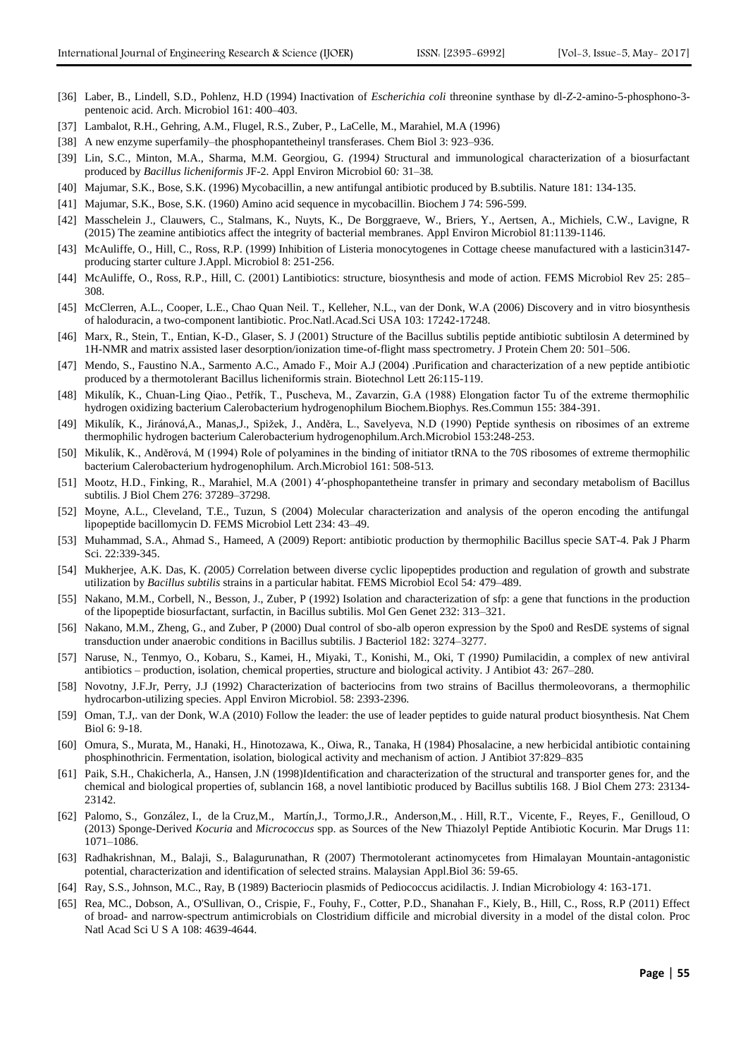- [36] Laber, B., Lindell, S.D., Pohlenz, H.D (1994) Inactivation of *Escherichia coli* threonine synthase by dl-*Z*-2-amino-5-phosphono-3 pentenoic acid. Arch. Microbiol 161: 400–403.
- [37] Lambalot, R.H., Gehring, A.M., Flugel, R.S., Zuber, P., LaCelle, M., Marahiel, M.A (1996)
- [38] A new enzyme superfamily–the phosphopantetheinyl transferases. Chem Biol 3: 923–936.
- [39] Lin, S.C.*,* Minton, M.A.*,* Sharma, M.M. Georgiou, G. *(*1994*)* Structural and immunological characterization of a biosurfactant produced by *Bacillus licheniformis* JF-2*.* Appl Environ Microbiol 60*:* 31*–*38*.*
- [40] Majumar, S.K., Bose, S.K. (1996) Mycobacillin, a new antifungal antibiotic produced by B.subtilis. Nature 181: 134-135.
- [41] Majumar, S.K., Bose, S.K. (1960) Amino acid sequence in mycobacillin. Biochem J 74: 596-599.
- [42] Masschelein J., Clauwers, C., Stalmans, K., Nuyts, K., De Borggraeve, W., Briers, Y., Aertsen, A., Michiels, C.W., Lavigne, R (2015[\) The zeamine antibiotics affect the integrity of bacterial membranes.](http://www.ncbi.nlm.nih.gov/pubmed/25452285) Appl Environ Microbiol 81:1139-1146.
- [43] McAuliffe, O., Hill, C., Ross, R.P. (1999) Inhibition of Listeria monocytogenes in Cottage cheese manufactured with a lasticin3147 producing starter culture J.Appl. Microbiol 8: 251-256.
- [44] McAuliffe, O., Ross, R.P., Hill, C. (2001) Lantibiotics: structure, biosynthesis and mode of action. FEMS Microbiol Rev 25: 285– 308.
- [45] McClerren, A.L., Cooper, L.E., Chao Quan Neil. T., Kelleher, N.L., van der Donk, W.A (2006) Discovery and in vitro biosynthesis of haloduracin, a two-component lantibiotic. Proc.Natl.Acad.Sci USA 103: 17242-17248.
- [46] Marx, R., Stein, T., Entian, K-D., Glaser, S. J (2001) Structure of the Bacillus subtilis peptide antibiotic subtilosin A determined by 1H-NMR and matrix assisted laser desorption/ionization time-of-flight mass spectrometry. J Protein Chem 20: 501–506.
- [47] Mendo, S., Faustino N.A., Sarmento A.C., Amado F., Moir A.J (2004) .Purification and characterization of a new peptide antibiotic produced by a thermotolerant Bacillus licheniformis strain[. Biotechnol Lett](http://www.ncbi.nlm.nih.gov/pubmed/?term=.Mendo%2C+S%2C+Faustino+N.A%2C+Sarmento+A.C%2C+Amado+F%2C+Moir+A.J.+%282004%29+Biotechnol.+26%2C+15.) 26:115-119.
- [48] Mikulík, K., Chuan-Ling Qiao., Petřík, T., Puscheva, M., Zavarzin, G.A (1988) Elongation factor Tu of the extreme thermophilic hydrogen oxidizing bacterium Calerobacterium hydrogenophilum Biochem.Biophys. Res.Commun 155: 384-391.
- [49] Mikulík, K., Jiránová,A., Manas,J., Spižek, J., Anděra, L., Savelyeva, N.D (1990) Peptide synthesis on ribosimes of an extreme thermophilic hydrogen bacterium Calerobacterium hydrogenophilum.Arch.Microbiol 153:248-253.
- [50] Mikulík, K., Anděrová, M (1994) Role of polyamines in the binding of initiator tRNA to the 70S ribosomes of extreme thermophilic bacterium Calerobacterium hydrogenophilum. Arch.Microbiol 161: 508-513.
- [51] Mootz, H.D., Finking, R., Marahiel, M.A (2001) 4′-phosphopantetheine transfer in primary and secondary metabolism of Bacillus subtilis. J Biol Chem 276: 37289–37298.
- [52] Moyne, A.L., Cleveland, T.E., Tuzun, S (2004) Molecular characterization and analysis of the operon encoding the antifungal lipopeptide bacillomycin D. FEMS Microbiol Lett 234: 43–49.
- [53] Muhammad, S.A., Ahmad S., Hameed, A (2009) Report: antibiotic production by thermophilic Bacillus specie SAT-4. [Pak J Pharm](http://www.ncbi.nlm.nih.gov/pubmed/?term=Muhammad%2C+S.A%2C+Ahmad+S%2C+Hameed+A%2C+J.Pharm.Sci.+%282009%29+22%2C+339-345.)  [Sci.](http://www.ncbi.nlm.nih.gov/pubmed/?term=Muhammad%2C+S.A%2C+Ahmad+S%2C+Hameed+A%2C+J.Pharm.Sci.+%282009%29+22%2C+339-345.) 22:339-345.
- [54] Mukherjee, A.K. Das, K. *(*2005*)* Correlation between diverse cyclic lipopeptides production and regulation of growth and substrate utilization by *Bacillus subtilis* strains in a particular habitat*.* FEMS Microbiol Ecol 54*:* 479*–*489.
- [55] Nakano, M.M., Corbell, N., Besson, J., Zuber, P (1992) Isolation and characterization of sfp: a gene that functions in the production of the lipopeptide biosurfactant, surfactin, in Bacillus subtilis. Mol Gen Genet 232: 313–321.
- [56] Nakano, M.M., Zheng, G., and Zuber, P (2000) Dual control of sbo-alb operon expression by the Spo0 and ResDE systems of signal transduction under anaerobic conditions in Bacillus subtilis. J Bacteriol 182: 3274–3277.
- [57] Naruse, N.*,* Tenmyo, O.*,* Kobaru, S.*,* Kamei, H.*,* Miyaki, T.*,* Konishi, M., Oki, T *(*1990*)* Pumilacidin, a complex of new antiviral antibiotics – production, isolation, chemical properties, structure and biological activity*.* J Antibiot 43*:* 267*–*280*.*
- [58] [Novotny, J.F.Jr,](http://www.ncbi.nlm.nih.gov/pubmed/?term=Novotny%20JF%20Jr%5BAuthor%5D&cauthor=true&cauthor_uid=1514786) [Perry, J.J](http://www.ncbi.nlm.nih.gov/pubmed/?term=Perry%20JJ%5BAuthor%5D&cauthor=true&cauthor_uid=1514786) (1992) Characterization of bacteriocins from two strains of Bacillus thermoleovorans, a thermophilic hydrocarbon-utilizing species. Appl Environ Microbiol. 58: 2393-2396.
- [59] Oman, T.J,. van der Donk, W.A (2010) Follow the leader: the use of leader peptides to guide natural product biosynthesis. Nat Chem Biol 6: 9-18.
- [60] Omura, S., Murata, M., Hanaki, H., Hinotozawa, K., Oiwa, R., Tanaka, H (1984) Phosalacine, a new herbicidal antibiotic containing phosphinothricin. Fermentation, isolation, biological activity and mechanism of action. J Antibiot 37:829–835
- [61] [Paik,](http://www.ncbi.nlm.nih.gov/pubmed/?term=Paik%20SH%5BAuthor%5D&cauthor=true&cauthor_uid=9722542) S.H., [Chakicherla, A.,](http://www.ncbi.nlm.nih.gov/pubmed/?term=Chakicherla%20A%5BAuthor%5D&cauthor=true&cauthor_uid=9722542) [Hansen, J.N](http://www.ncbi.nlm.nih.gov/pubmed/?term=Hansen%20JN%5BAuthor%5D&cauthor=true&cauthor_uid=9722542) (1998)Identification and characterization of the structural and transporter genes for, and the chemical and biological properties of, sublancin 168, a novel lantibiotic produced by Bacillus subtilis 168. [J Biol Chem](http://www.ncbi.nlm.nih.gov/pubmed/9722542) 273: 23134- 23142.
- [62] [Palomo,](http://www.ncbi.nlm.nih.gov/pubmed/?term=Palomo%20S%5Bauth%5D) S., [González,](http://www.ncbi.nlm.nih.gov/pubmed/?term=Gonz%26%23x000e1%3Blez%20I%5Bauth%5D) I., [de la Cruz,M](http://www.ncbi.nlm.nih.gov/pubmed/?term=de%20la%20Cruz%20M%5Bauth%5D)., [Martín,J](http://www.ncbi.nlm.nih.gov/pubmed/?term=Mart%26%23x000ed%3Bn%20J%5Bauth%5D)., [Tormo,](http://www.ncbi.nlm.nih.gov/pubmed/?term=Tormo%20JR%5Bauth%5D)J.R., [Anderson,](http://www.ncbi.nlm.nih.gov/pubmed/?term=Anderson%20M%5Bauth%5D)M., [. Hill,](http://www.ncbi.nlm.nih.gov/pubmed/?term=Hill%20RT%5Bauth%5D) R.T., [Vicente,](http://www.ncbi.nlm.nih.gov/pubmed/?term=Vicente%20F%5Bauth%5D) F., [Reyes,](http://www.ncbi.nlm.nih.gov/pubmed/?term=Reyes%20F%5Bauth%5D) F., [Genilloud,](http://www.ncbi.nlm.nih.gov/pubmed/?term=Genilloud%20O%5Bauth%5D) O (2013) Sponge-Derived *Kocuria* and *Micrococcus* spp. as Sources of the New Thiazolyl Peptide Antibiotic Kocurin. Mar Drugs 11: 1071–1086.
- [63] Radhakrishnan, M., Balaji, S., Balagurunathan, R (2007) Thermotolerant actinomycetes from Himalayan Mountain-antagonistic potential, characterization and identification of selected strains. Malaysian Appl.Biol 36: 59-65.
- [64] Ray, S.S., Johnson, M.C., Ray, B (1989) Bacteriocin plasmids of Pediococcus acidilactis. J. Indian Microbiology 4: 163-171.
- [65] Rea, [MC.,](http://www.ncbi.nlm.nih.gov/pubmed/?term=Rea%20MC%5BAuthor%5D&cauthor=true&cauthor_uid=20616009) [Dobson, A.](http://www.ncbi.nlm.nih.gov/pubmed/?term=Dobson%20A%5BAuthor%5D&cauthor=true&cauthor_uid=20616009), [O'Sullivan, O.,](http://www.ncbi.nlm.nih.gov/pubmed/?term=O%27Sullivan%20O%5BAuthor%5D&cauthor=true&cauthor_uid=20616009) [Crispie, F.](http://www.ncbi.nlm.nih.gov/pubmed/?term=Crispie%20F%5BAuthor%5D&cauthor=true&cauthor_uid=20616009), [Fouhy, F.](http://www.ncbi.nlm.nih.gov/pubmed/?term=Fouhy%20F%5BAuthor%5D&cauthor=true&cauthor_uid=20616009), [Cotter, P.D.](http://www.ncbi.nlm.nih.gov/pubmed/?term=Cotter%20PD%5BAuthor%5D&cauthor=true&cauthor_uid=20616009), [Shanahan F.](http://www.ncbi.nlm.nih.gov/pubmed/?term=Shanahan%20F%5BAuthor%5D&cauthor=true&cauthor_uid=20616009), [Kiely, B.](http://www.ncbi.nlm.nih.gov/pubmed/?term=Kiely%20B%5BAuthor%5D&cauthor=true&cauthor_uid=20616009), [Hill, C.](http://www.ncbi.nlm.nih.gov/pubmed/?term=Hill%20C%5BAuthor%5D&cauthor=true&cauthor_uid=20616009), [Ross, R.P](http://www.ncbi.nlm.nih.gov/pubmed/?term=Ross%20RP%5BAuthor%5D&cauthor=true&cauthor_uid=20616009) (2011) Effect of broad- and narrow-spectrum antimicrobials on Clostridium difficile and microbial diversity in a model of the distal colon. [Proc](http://www.ncbi.nlm.nih.gov/pubmed/20616009)  [Natl Acad Sci U S A](http://www.ncbi.nlm.nih.gov/pubmed/20616009) 108: 4639-4644.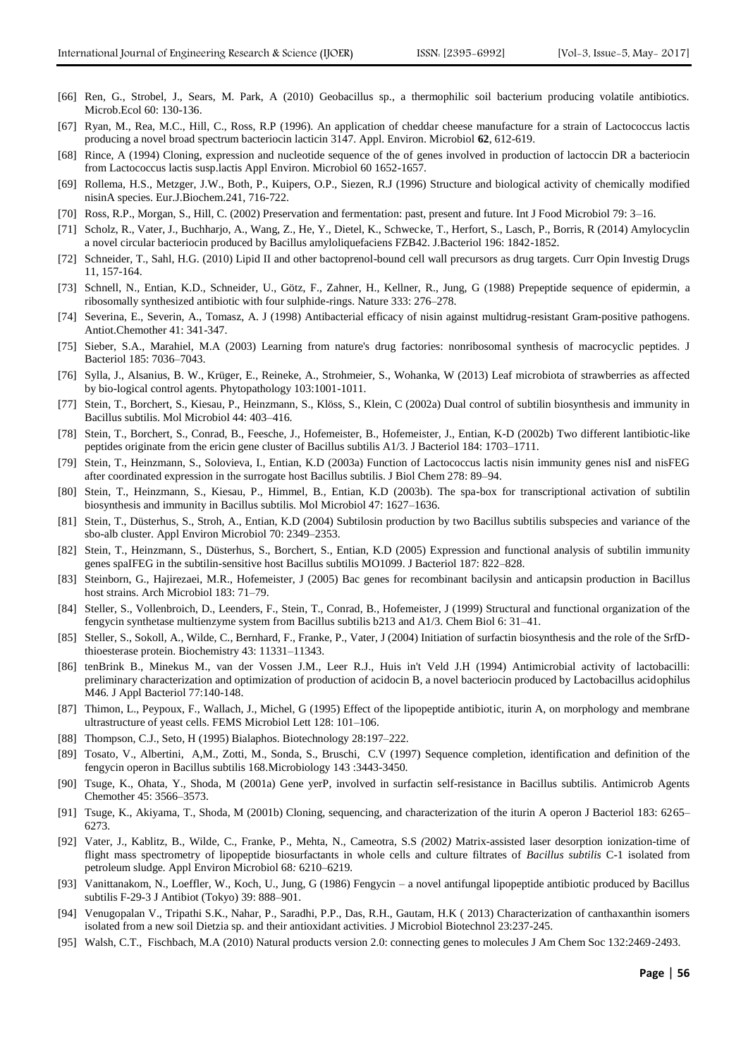- [66] Ren, G., Strobel, J., Sears, M. Park, A (2010) Geobacillus sp., a thermophilic soil bacterium producing volatile antibiotics. Microb.Ecol 60: 130-136.
- [67] Ryan, M., Rea, M.C., Hill, C., Ross, R.P (1996). An application of cheddar cheese manufacture for a strain of Lactococcus lactis producing a novel broad spectrum bacteriocin lacticin 3147. Appl. Environ. Microbiol **62**, 612-619.
- [68] Rince, A (1994) Cloning, expression and nucleotide sequence of the of genes involved in production of lactoccin DR a bacteriocin from Lactococcus lactis susp.lactis Appl Environ. Microbiol 60 1652-1657.
- [69] Rollema, H.S., Metzger, J.W., Both, P., Kuipers, O.P., Siezen, R.J (1996) Structure and biological activity of chemically modified nisinA species. Eur.J.Biochem.241, 716-722.
- [70] Ross, R.P., Morgan, S., Hill, C. (2002) Preservation and fermentation: past, present and future. Int J Food Microbiol 79: 3–16.
- [71] Scholz, R., Vater, J., Buchharjo, A., Wang, Z., He, Y., Dietel, K., Schwecke, T., Herfort, S., Lasch, P., Borris, R (2014) Amylocyclin a novel circular bacteriocin produced by Bacillus amyloliquefaciens FZB42. J.Bacteriol 196: 1842-1852.
- [72] Schneider, T., Sahl, H.G. (2010) Lipid II and other bactoprenol-bound cell wall precursors as drug targets. Curr Opin Investig Drugs 11, 157-164.
- [73] Schnell, N., Entian, K.D., Schneider, U., Götz, F., Zahner, H., Kellner, R., Jung, G (1988) Prepeptide sequence of epidermin, a ribosomally synthesized antibiotic with four sulphide-rings. Nature 333: 276–278.
- [74] Severina, E., Severin, A., Tomasz, A. J (1998) Antibacterial efficacy of nisin against multidrug-resistant Gram-positive pathogens. Antiot.Chemother 41: 341-347.
- [75] Sieber, S.A., Marahiel, M.A (2003) Learning from nature's drug factories: nonribosomal synthesis of macrocyclic peptides. J Bacteriol 185: 7036–7043.
- [76] Sylla, J., Alsanius, B. W., Krüger, E., Reineke, A., Strohmeier, S., Wohanka, W (2013) Leaf microbiota of strawberries as affected by bio-logical control agents. Phytopathology 103:1001-1011.
- [77] Stein, T., Borchert, S., Kiesau, P., Heinzmann, S., Klöss, S., Klein, C (2002a) Dual control of subtilin biosynthesis and immunity in Bacillus subtilis. Mol Microbiol 44: 403–416.
- [78] Stein, T., Borchert, S., Conrad, B., Feesche, J., Hofemeister, B., Hofemeister, J., Entian, K-D (2002b) Two different lantibiotic-like peptides originate from the ericin gene cluster of Bacillus subtilis A1/3. J Bacteriol 184: 1703–1711.
- [79] Stein, T., Heinzmann, S., Solovieva, I., Entian, K.D (2003a) Function of Lactococcus lactis nisin immunity genes nisI and nisFEG after coordinated expression in the surrogate host Bacillus subtilis. J Biol Chem 278: 89–94.
- [80] Stein, T., Heinzmann, S., Kiesau, P., Himmel, B., Entian, K.D (2003b). The spa-box for transcriptional activation of subtilin biosynthesis and immunity in Bacillus subtilis. Mol Microbiol 47: 1627–1636.
- [81] Stein, T., Düsterhus, S., Stroh, A., Entian, K.D (2004) Subtilosin production by two Bacillus subtilis subspecies and variance of the sbo-alb cluster. Appl Environ Microbiol 70: 2349–2353.
- [82] Stein, T., Heinzmann, S., Düsterhus, S., Borchert, S., Entian, K.D (2005) Expression and functional analysis of subtilin immunity genes spaIFEG in the subtilin-sensitive host Bacillus subtilis MO1099. J Bacteriol 187: 822–828.
- [83] Steinborn, G., Hajirezaei, M.R., Hofemeister, J (2005) Bac genes for recombinant bacilysin and anticapsin production in Bacillus host strains. Arch Microbiol 183: 71–79.
- [84] Steller, S., Vollenbroich, D., Leenders, F., Stein, T., Conrad, B., Hofemeister, J (1999) Structural and functional organization of the fengycin synthetase multienzyme system from Bacillus subtilis b213 and A1/3. Chem Biol 6: 31–41.
- [85] Steller, S., Sokoll, A., Wilde, C., Bernhard, F., Franke, P., Vater, J (2004) Initiation of surfactin biosynthesis and the role of the SrfDthioesterase protein. Biochemistry 43: 11331–11343.
- [86] [tenBrink B.,](http://www.ncbi.nlm.nih.gov/pubmed/?term=ten%20Brink%20B%5BAuthor%5D&cauthor=true&cauthor_uid=7961186) [Minekus M.](http://www.ncbi.nlm.nih.gov/pubmed/?term=Minekus%20M%5BAuthor%5D&cauthor=true&cauthor_uid=7961186), [van der Vossen J.M.](http://www.ncbi.nlm.nih.gov/pubmed/?term=van%20der%20Vossen%20JM%5BAuthor%5D&cauthor=true&cauthor_uid=7961186), [Leer R.J.](http://www.ncbi.nlm.nih.gov/pubmed/?term=Leer%20RJ%5BAuthor%5D&cauthor=true&cauthor_uid=7961186), [Huis in't Veld J.H](http://www.ncbi.nlm.nih.gov/pubmed/?term=Huis%20in%27t%20Veld%20JH%5BAuthor%5D&cauthor=true&cauthor_uid=7961186) (1994) Antimicrobial activity of lactobacilli: preliminary characterization and optimization of production of acidocin B, a novel bacteriocin produced by Lactobacillus acidophilus M46. [J Appl Bacteriol](http://www.ncbi.nlm.nih.gov/pubmed/?term=j.appl.+bacteriol.+77%2C140-148+%281994%29) 77:140-148.
- [87] Thimon, L., Peypoux, F., Wallach, J., Michel, G (1995) Effect of the lipopeptide antibiotic, iturin A, on morphology and membrane ultrastructure of yeast cells. FEMS Microbiol Lett 128: 101–106.
- [88] Thompson, C.J., Seto, H (1995) Bialaphos. Biotechnology 28:197–222.
- [89] Tosato, V., Albertini, A,M., Zotti, M., Sonda, S., Bruschi, C.V (1997) [Sequence completion, identification and definition of the](http://www.ncbi.nlm.nih.gov/pubmed/9387222)  fengycin [operon in Bacillus subtilis 168.M](http://www.ncbi.nlm.nih.gov/pubmed/9387222)icrobiology 143 :3443-3450.
- [90] Tsuge, K., Ohata, Y., Shoda, M (2001a) Gene yerP, involved in surfactin self-resistance in Bacillus subtilis. Antimicrob Agents Chemother 45: 3566–3573.
- [91] Tsuge, K., Akiyama, T., Shoda, M (2001b) Cloning, sequencing, and characterization of the iturin A operon J Bacteriol 183: 6265– 6273.
- [92] Vater, J.*,* Kablitz, B.*,* Wilde, C.*,* Franke, P.*,* Mehta, N., Cameotra, S.S *(*2002*)* Matrix-assisted laser desorption ionization-time of flight mass spectrometry of lipopeptide biosurfactants in whole cells and culture filtrates of *Bacillus subtilis* C-1 isolated from petroleum sludge*.* Appl Environ Microbiol 68*:* 6210*–*6219*.*
- [93] Vanittanakom, N., Loeffler, W., Koch, U., Jung, G (1986) Fengycin a novel antifungal lipopeptide antibiotic produced by Bacillus subtilis F-29-3 J Antibiot (Tokyo) 39: 888–901.
- [94] Venugopalan V., Tripathi S.K., Nahar, P., Saradhi, P.P., Das, R.H., Gautam, H.K ( 2013) [Characterization of canthaxanthin isomers](http://www.ncbi.nlm.nih.gov/pubmed/23412067)  [isolated from a new soil Dietzia sp. and their antioxidant activities.](http://www.ncbi.nlm.nih.gov/pubmed/23412067) J Microbiol Biotechnol 23:237-245.
- [95] Walsh, C.T., Fischbach, M.A (2010) Natural products version 2.0: connecting genes to molecules J Am Chem Soc 132:2469-2493.